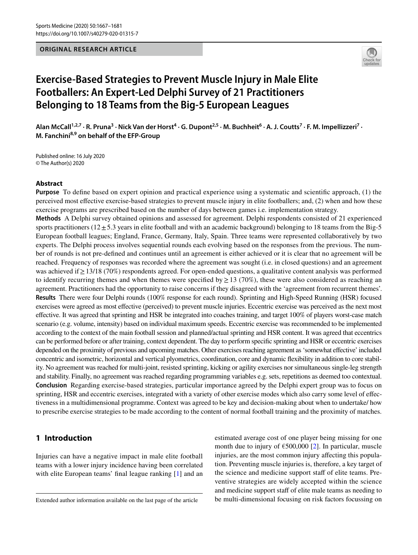## **ORIGINAL RESEARCH ARTICLE**



# **Exercise‑Based Strategies to Prevent Muscle Injury in Male Elite Footballers: An Expert‑Led Delphi Survey of 21 Practitioners Belonging to 18 Teams from the Big‑5 European Leagues**

Alan McCall<sup>1,2,7</sup> · R. Pruna<sup>3</sup> · Nick Van der Horst<sup>4</sup> · G. Dupont<sup>2,5</sup> · M. Buchheit<sup>6</sup> · A. J. Coutts<sup>7</sup> · F. M. Impellizzeri<sup>7</sup> · **M. Fanchini8,9 on behalf of the EFP-Group**

Published online: 16 July 2020 © The Author(s) 2020

## **Abstract**

**Purpose** To defne based on expert opinion and practical experience using a systematic and scientifc approach, (1) the perceived most efective exercise-based strategies to prevent muscle injury in elite footballers; and, (2) when and how these exercise programs are prescribed based on the number of days between games i.e. implementation strategy.

**Methods** A Delphi survey obtained opinions and assessed for agreement. Delphi respondents consisted of 21 experienced sports practitioners ( $12 \pm 5.3$  years in elite football and with an academic background) belonging to 18 teams from the Big-5 European football leagues; England, France, Germany, Italy, Spain. Three teams were represented collaboratively by two experts. The Delphi process involves sequential rounds each evolving based on the responses from the previous. The number of rounds is not pre-defned and continues until an agreement is either achieved or it is clear that no agreement will be reached. Frequency of responses was recorded where the agreement was sought (i.e. in closed questions) and an agreement was achieved if≥13/18 (70%) respondents agreed. For open-ended questions, a qualitative content analysis was performed to identify recurring themes and when themes were specified by  $\geq$  13 (70%), these were also considered as reaching an agreement. Practitioners had the opportunity to raise concerns if they disagreed with the 'agreement from recurrent themes'. **Results** There were four Delphi rounds (100% response for each round). Sprinting and High-Speed Running (HSR) focused exercises were agreed as most efective (perceived) to prevent muscle injuries. Eccentric exercise was perceived as the next most efective. It was agreed that sprinting and HSR be integrated into coaches training, and target 100% of players worst-case match scenario (e.g. volume, intensity) based on individual maximum speeds. Eccentric exercise was recommended to be implemented according to the context of the main football session and planned/actual sprinting and HSR content. It was agreed that eccentrics can be performed before or after training, context dependent. The day to perform specifc sprinting and HSR or eccentric exercises depended on the proximity of previous and upcoming matches. Other exercises reaching agreement as 'somewhat efective' included concentric and isometric, horizontal and vertical plyometrics, coordination, core and dynamic fexibility in addition to core stability. No agreement was reached for multi-joint, resisted sprinting, kicking or agility exercises nor simultaneous single-leg strength and stability. Finally, no agreement was reached regarding programming variables e.g. sets, repetitions as deemed too contextual. **Conclusion** Regarding exercise-based strategies, particular importance agreed by the Delphi expert group was to focus on sprinting, HSR and eccentric exercises, integrated with a variety of other exercise modes which also carry some level of efectiveness in a multidimensional programme. Context was agreed to be key and decision-making about when to undertake/ how to prescribe exercise strategies to be made according to the content of normal football training and the proximity of matches.

# **1 Introduction**

Injuries can have a negative impact in male elite football teams with a lower injury incidence having been correlated with elite European teams' final league ranking [[1\]](#page-13-0) and an estimated average cost of one player being missing for one month due to injury of  $\epsilon$ 500,000 [[2](#page-13-1)]. In particular, muscle injuries, are the most common injury afecting this population. Preventing muscle injuries is, therefore, a key target of the science and medicine support staff of elite teams. Preventive strategies are widely accepted within the science and medicine support staff of elite male teams as needing to be multi-dimensional focusing on risk factors focussing on

Extended author information available on the last page of the article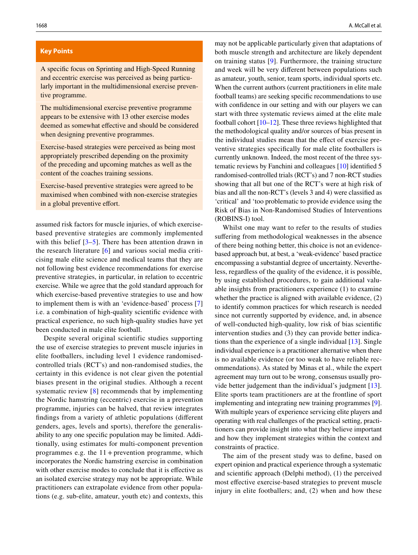#### **Key Points**

A specifc focus on Sprinting and High-Speed Running and eccentric exercise was perceived as being particularly important in the multidimensional exercise preventive programme.

The multidimensional exercise preventive programme appears to be extensive with 13 other exercise modes deemed as somewhat effective and should be considered when designing preventive programmes.

Exercise-based strategies were perceived as being most appropriately prescribed depending on the proximity of the preceding and upcoming matches as well as the content of the coaches training sessions.

Exercise-based preventive strategies were agreed to be maximised when combined with non-exercise strategies in a global preventive effort.

assumed risk factors for muscle injuries, of which exercisebased preventive strategies are commonly implemented with this belief [\[3–](#page-13-6)[5\]](#page-13-7). There has been attention drawn in the research literature [[6](#page-13-8)] and various social media criticising male elite science and medical teams that they are not following best evidence recommendations for exercise preventive strategies, in particular, in relation to eccentric exercise. While we agree that the gold standard approach for which exercise-based preventive strategies to use and how to implement them is with an 'evidence-based' process [[7\]](#page-13-9) i.e. a combination of high-quality scientifc evidence with practical experience, no such high-quality studies have yet been conducted in male elite football.

Despite several original scientific studies supporting the use of exercise strategies to prevent muscle injuries in elite footballers, including level 1 evidence randomisedcontrolled trials (RCT's) and non-randomised studies, the certainty in this evidence is not clear given the potential biases present in the original studies. Although a recent systematic review [[8](#page-13-10)] recommends that by implementing the Nordic hamstring (eccentric) exercise in a prevention programme, injuries can be halved, that review integrates fndings from a variety of athletic populations (diferent genders, ages, levels and sports), therefore the generalisability to any one specifc population may be limited. Additionally, using estimates for multi-component prevention programmes e.g. the  $11 +$  prevention programme, which incorporates the Nordic hamstring exercise in combination with other exercise modes to conclude that it is efective as an isolated exercise strategy may not be appropriate. While practitioners can extrapolate evidence from other populations (e.g. sub-elite, amateur, youth etc) and contexts, this may not be applicable particularly given that adaptations of both muscle strength and architecture are likely dependent on training status [[9](#page-13-2)]. Furthermore, the training structure and week will be very diferent between populations such as amateur, youth, senior, team sports, individual sports etc. When the current authors (current practitioners in elite male football teams) are seeking specifc recommendations to use with confidence in our setting and with our players we can start with three systematic reviews aimed at the elite male football cohort [[10](#page-13-3)[–12](#page-13-4)]. These three reviews highlighted that the methodological quality and/or sources of bias present in the individual studies mean that the efect of exercise preventive strategies specifcally for male elite footballers is currently unknown. Indeed, the most recent of the three systematic reviews by Fanchini and colleagues [[10\]](#page-13-3) identifed 5 randomised-controlled trials (RCT's) and 7 non-RCT studies showing that all but one of the RCT's were at high risk of bias and all the non-RCT's (levels 3 and 4) were classifed as 'critical' and 'too problematic to provide evidence using the Risk of Bias in Non-Randomised Studies of Interventions (ROBINS-I) tool.

Whilst one may want to refer to the results of studies suffering from methodological weaknesses in the absence of there being nothing better, this choice is not an evidencebased approach but, at best, a 'weak-evidence' based practice encompassing a substantial degree of uncertainty. Nevertheless, regardless of the quality of the evidence, it is possible, by using established procedures, to gain additional valuable insights from practitioners experience (1) to examine whether the practice is aligned with available evidence, (2) to identify common practices for which research is needed since not currently supported by evidence, and, in absence of well-conducted high-quality, low risk of bias scientifc intervention studies and (3) they can provide better indications than the experience of a single individual [\[13](#page-13-5)]. Single individual experience is a practitioner alternative when there is no available evidence (or too weak to have reliable recommendations). As stated by Minas et al., while the expert agreement may turn out to be wrong, consensus usually provide better judgement than the individual's judgment [\[13](#page-13-5)]. Elite sports team practitioners are at the frontline of sport implementing and integrating new training programmes [\[9](#page-13-2)]. With multiple years of experience servicing elite players and operating with real challenges of the practical setting, practitioners can provide insight into what they believe important and how they implement strategies within the context and constraints of practice.

The aim of the present study was to defne, based on expert opinion and practical experience through a systematic and scientifc approach (Delphi method), (1) the perceived most efective exercise-based strategies to prevent muscle injury in elite footballers; and, (2) when and how these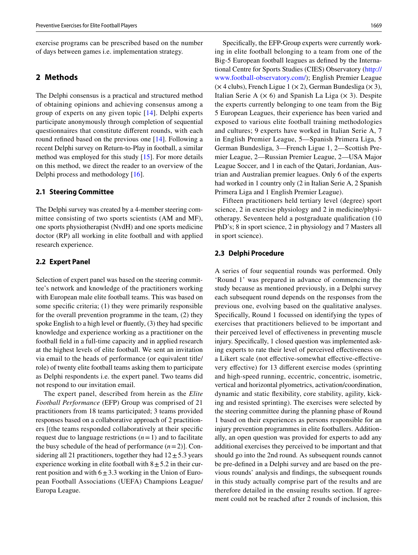exercise programs can be prescribed based on the number of days between games i.e. implementation strategy.

## **2 Methods**

The Delphi consensus is a practical and structured method of obtaining opinions and achieving consensus among a group of experts on any given topic [\[14\]](#page-13-11). Delphi experts participate anonymously through completion of sequential questionnaires that constitute diferent rounds, with each round refined based on the previous one [\[14\]](#page-13-11). Following a recent Delphi survey on Return-to-Play in football, a similar method was employed for this study [[15\]](#page-13-12). For more details on this method, we direct the reader to an overview of the Delphi process and methodology [[16\]](#page-13-13).

### **2.1 Steering Committee**

The Delphi survey was created by a 4-member steering committee consisting of two sports scientists (AM and MF), one sports physiotherapist (NvdH) and one sports medicine doctor (RP) all working in elite football and with applied research experience.

## **2.2 Expert Panel**

Selection of expert panel was based on the steering committee's network and knowledge of the practitioners working with European male elite football teams. This was based on some specifc criteria; (1) they were primarily responsible for the overall prevention programme in the team, (2) they spoke English to a high level or fuently, (3) they had specifc knowledge and experience working as a practitioner on the football feld in a full-time capacity and in applied research at the highest levels of elite football. We sent an invitation via email to the heads of performance (or equivalent title/ role) of twenty elite football teams asking them to participate as Delphi respondents i.e. the expert panel. Two teams did not respond to our invitation email.

The expert panel, described from herein as the *Elite Football Performance* (EFP) Group was comprised of 21 practitioners from 18 teams participated; 3 teams provided responses based on a collaborative approach of 2 practitioners [(the teams responded collaboratively at their specifc request due to language restrictions  $(n=1)$  and to facilitate the busy schedule of the head of performance  $(n=2)$ ]. Considering all 21 practitioners, together they had  $12 \pm 5.3$  years experience working in elite football with  $8 \pm 5.2$  in their current position and with  $6±3.3$  working in the Union of European Football Associations (UEFA) Champions League/ Europa League.

Specifcally, the EFP-Group experts were currently working in elite football belonging to a team from one of the Big-5 European football leagues as defned by the International Centre for Sports Studies (CIES) Observatory [\(http://](http://www.football-observatory.com/) [www.football-observatory.com/\)](http://www.football-observatory.com/); English Premier League  $(x 4$  clubs), French Ligue 1  $(x 2)$ , German Bundesliga  $(x 3)$ , Italian Serie A  $(\times 6)$  and Spanish La Liga  $(\times 3)$ . Despite the experts currently belonging to one team from the Big 5 European Leagues, their experience has been varied and exposed to various elite football training methodologies and cultures; 9 experts have worked in Italian Serie A, 7 in English Premier League, 5—Spanish Primera Liga, 5 German Bundesliga, 3—French Ligue 1, 2—Scottish Premier League, 2—Russian Premier League, 2—USA Major League Soccer, and 1 in each of the Qatari, Jordanian, Austrian and Australian premier leagues. Only 6 of the experts had worked in 1 country only (2 in Italian Serie A, 2 Spanish Primera Liga and 1 English Premier League).

Fifteen practitioners held tertiary level (degree) sport science, 2 in exercise physiology and 2 in medicine/physiotherapy. Seventeen held a postgraduate qualifcation (10 PhD's; 8 in sport science, 2 in physiology and 7 Masters all in sport science).

#### **2.3 Delphi Procedure**

A series of four sequential rounds was performed. Only 'Round 1' was prepared in advance of commencing the study because as mentioned previously, in a Delphi survey each subsequent round depends on the responses from the previous one, evolving based on the qualitative analyses. Specifcally, Round 1 focussed on identifying the types of exercises that practitioners believed to be important and their perceived level of efectiveness in preventing muscle injury. Specifcally, 1 closed question was implemented asking experts to rate their level of perceived effectiveness on a Likert scale (not efective-somewhat efective-efectivevery efective) for 13 diferent exercise modes (sprinting and high-speed running, eccentric, concentric, isometric, vertical and horizontal plyometrics, activation/coordination, dynamic and static fexibility, core stability, agility, kicking and resisted sprinting). The exercises were selected by the steering committee during the planning phase of Round 1 based on their experiences as persons responsible for an injury prevention programmes in elite footballers. Additionally, an open question was provided for experts to add any additional exercises they perceived to be important and that should go into the 2nd round. As subsequent rounds cannot be pre-defned in a Delphi survey and are based on the previous rounds' analysis and fndings, the subsequent rounds in this study actually comprise part of the results and are therefore detailed in the ensuing results section. If agreement could not be reached after 2 rounds of inclusion, this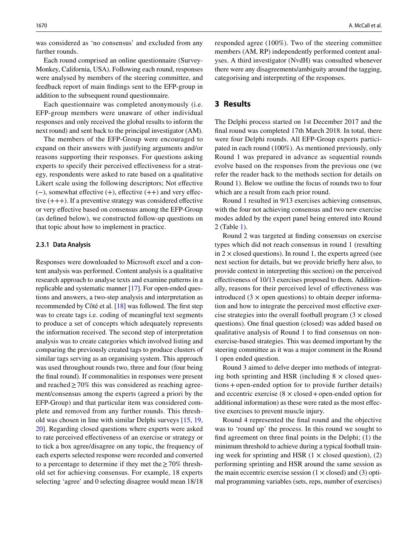was considered as 'no consensus' and excluded from any further rounds.

Each round comprised an online questionnaire (Survey-Monkey, California, USA). Following each round, responses were analysed by members of the steering committee, and feedback report of main fndings sent to the EFP-group in addition to the subsequent round questionnaire.

Each questionnaire was completed anonymously (i.e. EFP-group members were unaware of other individual responses and only received the global results to inform the next round) and sent back to the principal investigator (AM).

The members of the EFP-Group were encouraged to expand on their answers with justifying arguments and/or reasons supporting their responses. For questions asking experts to specify their perceived efectiveness for a strategy, respondents were asked to rate based on a qualitative Likert scale using the following descriptors; Not efective  $(-)$ , somewhat effective  $(+)$ , effective  $(+)$  and very effective  $(+++)$ . If a preventive strategy was considered effective or very efective based on consensus among the EFP-Group (as defned below), we constructed follow-up questions on that topic about how to implement in practice.

#### **2.3.1 Data Analysis**

Responses were downloaded to Microsoft excel and a content analysis was performed. Content analysis is a qualitative research approach to analyse texts and examine patterns in a replicable and systematic manner [\[17](#page-13-14)]. For open-ended questions and answers, a two-step analysis and interpretation as recommended by Côté et al. [\[18](#page-13-15)] was followed. The frst step was to create tags i.e. coding of meaningful text segments to produce a set of concepts which adequately represents the information received. The second step of interpretation analysis was to create categories which involved listing and comparing the previously created tags to produce clusters of similar tags serving as an organising system. This approach was used throughout rounds two, three and four (four being the fnal round). If commonalities in responses were present and reached  $\geq$  70% this was considered as reaching agreement/consensus among the experts (agreed a priori by the EFP-Group) and that particular item was considered complete and removed from any further rounds. This threshold was chosen in line with similar Delphi surveys [\[15](#page-13-12), [19,](#page-13-16) [20](#page-13-17)]. Regarding closed questions where experts were asked to rate perceived efectiveness of an exercise or strategy or to tick a box agree/disagree on any topic, the frequency of each experts selected response were recorded and converted to a percentage to determine if they met the  $\geq 70\%$  threshold set for achieving consensus. For example, 18 experts selecting 'agree' and 0 selecting disagree would mean 18/18 responded agree (100%). Two of the steering committee members (AM, RP) independently performed content analyses. A third investigator (NvdH) was consulted whenever there were any disagreements/ambiguity around the tagging, categorising and interpreting of the responses.

## **3 Results**

The Delphi process started on 1st December 2017 and the fnal round was completed 17th March 2018. In total, there were four Delphi rounds. All EFP-Group experts participated in each round (100%). As mentioned previously, only Round 1 was prepared in advance as sequential rounds evolve based on the responses from the previous one (we refer the reader back to the methods section for details on Round 1). Below we outline the focus of rounds two to four which are a result from each prior round.

Round 1 resulted in 9/13 exercises achieving consensus, with the four not achieving consensus and two new exercise modes added by the expert panel being entered into Round 2 (Table [1](#page-4-0)).

Round 2 was targeted at fnding consensus on exercise types which did not reach consensus in round 1 (resulting in  $2 \times$  closed questions). In round 1, the experts agreed (see next section for details, but we provide briefy here also, to provide context in interpreting this section) on the perceived efectiveness of 10/13 exercises proposed to them. Additionally, reasons for their perceived level of efectiveness was introduced  $(3 \times$  open questions) to obtain deeper information and how to integrate the perceived most efective exercise strategies into the overall football program  $(3 \times \text{closed})$ questions). One fnal question (closed) was added based on qualitative analysis of Round 1 to fnd consensus on nonexercise-based strategies. This was deemed important by the steering committee as it was a major comment in the Round 1 open ended question.

Round 3 aimed to delve deeper into methods of integrating both sprinting and HSR (including  $8 \times$  closed questions+open-ended option for to provide further details) and eccentric exercise  $(8 \times \text{closed} + \text{open-ended option for})$ additional information) as these were rated as the most efective exercises to prevent muscle injury.

Round 4 represented the fnal round and the objective was to 'round up' the process. In this round we sought to fnd agreement on three fnal points in the Delphi; (1) the minimum threshold to achieve during a typical football training week for sprinting and HSR  $(1 \times \text{closed question})$ ,  $(2)$ performing sprinting and HSR around the same session as the main eccentric exercise session  $(1 \times \text{closed})$  and  $(3)$  optimal programming variables (sets, reps, number of exercises)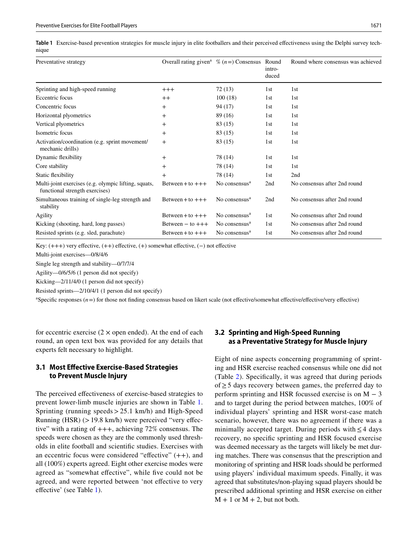<span id="page-4-0"></span>**Table 1** Exercise-based prevention strategies for muscle injury in elite footballers and their perceived efectiveness using the Delphi survey technique

| Preventative strategy                                                                  | Overall rating given <sup>a</sup> $\%$ (n = ) Consensus |                           | Round<br>intro-<br>duced | Round where consensus was achieved |
|----------------------------------------------------------------------------------------|---------------------------------------------------------|---------------------------|--------------------------|------------------------------------|
| Sprinting and high-speed running                                                       | $+++$                                                   | 72(13)                    | 1st                      | 1 <sub>st</sub>                    |
| Eccentric focus                                                                        | $++$                                                    | 100(18)                   | 1st                      | 1st                                |
| Concentric focus                                                                       | $^{+}$                                                  | 94 (17)                   | 1st                      | 1st                                |
| Horizontal plyometrics                                                                 | $^{+}$                                                  | 89 (16)                   | 1st                      | 1 <sub>st</sub>                    |
| Vertical plyometrics                                                                   | $^+$                                                    | 83 (15)                   | 1st                      | 1st                                |
| Isometric focus                                                                        | $+$                                                     | 83 (15)                   | 1st                      | 1st                                |
| Activation/coordination (e.g. sprint movement/<br>mechanic drills)                     | $+$                                                     | 83 (15)                   | 1st                      | 1st                                |
| Dynamic flexibility                                                                    | $^{+}$                                                  | 78 (14)                   | 1st                      | 1st                                |
| Core stability                                                                         | $^{+}$                                                  | 78 (14)                   | 1st                      | 1st                                |
| Static flexibility                                                                     | $+$                                                     | 78 (14)                   | 1st                      | 2nd                                |
| Multi-joint exercises (e.g. olympic lifting, squats,<br>functional strength exercises) | Between + to $++$                                       | No consensus <sup>a</sup> | 2nd                      | No consensus after 2nd round       |
| Simultaneous training of single-leg strength and<br>stability                          | Between + to $+++$                                      | No consensus <sup>a</sup> | 2nd                      | No consensus after 2nd round       |
| Agility                                                                                | Between + to $+++$                                      | No consensus <sup>a</sup> | 1st                      | No consensus after 2nd round       |
| Kicking (shooting, hard, long passes)                                                  | Between $-$ to $++$                                     | No consensus <sup>a</sup> | 1st                      | No consensus after 2nd round       |
| Resisted sprints (e.g. sled, parachute)                                                | Between + to $+++$                                      | No consensus <sup>a</sup> | 1st                      | No consensus after 2nd round       |

Key:  $(+++)$  very effective,  $(++)$  effective,  $(+)$  somewhat effective,  $(-)$  not effective

Multi-joint exercises—0/8/4/6

Single leg strength and stability—0/7/7/4

Agility—0/6/5/6 (1 person did not specify)

Kicking—2/11/4/0 (1 person did not specify)

Resisted sprints—2/10/4/1 (1 person did not specify)

<sup>a</sup>Specific responses (*n* = ) for those not finding consensus based on likert scale (not effective/somewhat effective/effective/very effective)

for eccentric exercise  $(2 \times$  open ended). At the end of each round, an open text box was provided for any details that experts felt necessary to highlight.

## **3.1 Most Efective Exercise‑Based Strategies to Prevent Muscle Injury**

The perceived efectiveness of exercise-based strategies to prevent lower-limb muscle injuries are shown in Table [1.](#page-4-0) Sprinting (running speeds>25.1 km/h) and High-Speed Running (HSR) (>19.8 km/h) were perceived "very efective" with a rating of +++, achieving 72% consensus. The speeds were chosen as they are the commonly used thresholds in elite football and scientifc studies. Exercises with an eccentric focus were considered "effective"  $(++)$ , and all (100%) experts agreed. Eight other exercise modes were agreed as "somewhat effective", while five could not be agreed, and were reported between 'not effective to very efective' (see Table [1\)](#page-4-0).

# **3.2 Sprinting and High‑Speed Running as a Preventative Strategy for Muscle Injury**

Eight of nine aspects concerning programming of sprinting and HSR exercise reached consensus while one did not (Table [2](#page-6-0)). Specifcally, it was agreed that during periods of≥5 days recovery between games, the preferred day to perform sprinting and HSR focussed exercise is on  $M - 3$ and to target during the period between matches, 100% of individual players' sprinting and HSR worst-case match scenario, however, there was no agreement if there was a minimally accepted target. During periods with  $\leq 4$  days recovery, no specifc sprinting and HSR focused exercise was deemed necessary as the targets will likely be met during matches. There was consensus that the prescription and monitoring of sprinting and HSR loads should be performed using players' individual maximum speeds. Finally, it was agreed that substitutes/non-playing squad players should be prescribed additional sprinting and HSR exercise on either  $M + 1$  or  $M + 2$ , but not both.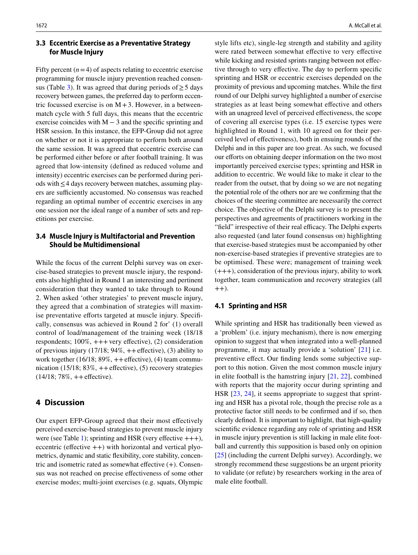## **3.3 Eccentric Exercise as a Preventative Strategy for Muscle Injury**

Fifty percent  $(n=4)$  of aspects relating to eccentric exercise programming for muscle injury prevention reached consen-sus (Table [3](#page-7-0)). It was agreed that during periods of  $\geq$  5 days recovery between games, the preferred day to perform eccentric focussed exercise is on  $M+3$ . However, in a betweenmatch cycle with 5 full days, this means that the eccentric exercise coincides with  $M - 3$  and the specific sprinting and HSR session. In this instance, the EFP-Group did not agree on whether or not it is appropriate to perform both around the same session. It was agreed that eccentric exercise can be performed either before or after football training. It was agreed that low-intensity (defned as reduced volume and intensity) eccentric exercises can be performed during periods with≤4 days recovery between matches, assuming players are sufficiently accustomed. No consensus was reached regarding an optimal number of eccentric exercises in any one session nor the ideal range of a number of sets and repetitions per exercise.

# **3.4 Muscle Injury is Multifactorial and Prevention Should be Multidimensional**

While the focus of the current Delphi survey was on exercise-based strategies to prevent muscle injury, the respondents also highlighted in Round 1 an interesting and pertinent consideration that they wanted to take through to Round 2. When asked 'other strategies' to prevent muscle injury, they agreed that a combination of strategies will maximise preventative efforts targeted at muscle injury. Specifically, consensus was achieved in Round 2 for' (1) overall control of load/management of the training week (18/18 respondents;  $100\%, +++$ very effective), (2) consideration of previous injury  $(17/18; 94\%, ++effective)$ ,  $(3)$  ability to work together  $(16/18; 89\%, ++ effective)$ ,  $(4)$  team communication (15/18;  $83\%, +$ +effective), (5) recovery strategies  $(14/18; 78\%, ++$ effective).

# **4 Discussion**

Our expert EFP-Group agreed that their most efectively perceived exercise-based strategies to prevent muscle injury were (see Table [1\)](#page-4-0); sprinting and HSR (very effective  $++$ ), eccentric (effective  $++$ ) with horizontal and vertical plyometrics, dynamic and static fexibility, core stability, concentric and isometric rated as somewhat effective  $(+)$ . Consensus was not reached on precise efectiveness of some other exercise modes; multi-joint exercises (e.g. squats, Olympic

style lifts etc), single-leg strength and stability and agility were rated between somewhat effective to very effective while kicking and resisted sprints ranging between not effective through to very efective. The day to perform specifc sprinting and HSR or eccentric exercises depended on the proximity of previous and upcoming matches. While the frst round of our Delphi survey highlighted a number of exercise strategies as at least being somewhat effective and others with an unagreed level of perceived efectiveness, the scope of covering all exercise types (i.e. 15 exercise types were highlighted in Round 1, with 10 agreed on for their perceived level of efectiveness), both in ensuing rounds of the Delphi and in this paper are too great. As such, we focused our efforts on obtaining deeper information on the two most importantly perceived exercise types; sprinting and HSR in addition to eccentric. We would like to make it clear to the reader from the outset, that by doing so we are not negating the potential role of the others nor are we confrming that the choices of the steering committee are necessarily the correct choice. The objective of the Delphi survey is to present the perspectives and agreements of practitioners working in the "field" irrespective of their real efficacy. The Delphi experts also requested (and later found consensus on) highlighting that exercise-based strategies must be accompanied by other non-exercise-based strategies if preventive strategies are to be optimised. These were; management of training week (+++), consideration of the previous injury, ability to work together, team communication and recovery strategies (all  $(++)$ .

#### **4.1 Sprinting and HSR**

While sprinting and HSR has traditionally been viewed as a 'problem' (i.e. injury mechanism), there is now emerging opinion to suggest that when integrated into a well-planned programme, it may actually provide a 'solution' [[21\]](#page-13-18) i.e. preventive efect. Our fnding lends some subjective support to this notion. Given the most common muscle injury in elite football is the hamstring injury [\[21](#page-13-18), [22\]](#page-13-19), combined with reports that the majority occur during sprinting and HSR [\[23,](#page-13-20) [24](#page-13-21)], it seems appropriate to suggest that sprinting and HSR has a pivotal role, though the precise role as a protective factor still needs to be confrmed and if so, then clearly defned. It is important to highlight, that high-quality scientifc evidence regarding any role of sprinting and HSR in muscle injury prevention is still lacking in male elite football and currently this supposition is based only on opinion [\[25\]](#page-13-22) (including the current Delphi survey). Accordingly, we strongly recommend these suggestions be an urgent priority to validate (or refute) by researchers working in the area of male elite football.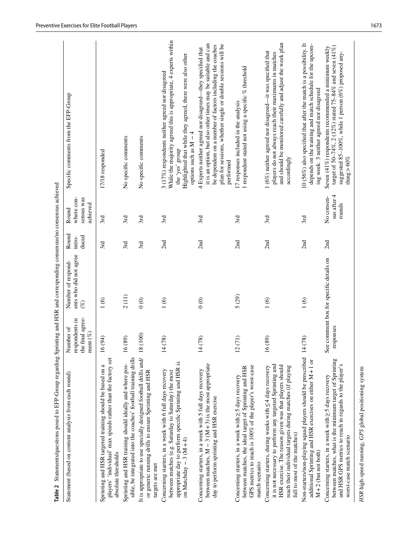| Table 2 Statements/questions posed to EFP-Group regarding Sprinting and HSR and corresponding consensus/no consensus achieved                                                                                                                                                     |                                                                |                                                        |                          |                                               |                                                                                                                                                                                                                                                                       |
|-----------------------------------------------------------------------------------------------------------------------------------------------------------------------------------------------------------------------------------------------------------------------------------|----------------------------------------------------------------|--------------------------------------------------------|--------------------------|-----------------------------------------------|-----------------------------------------------------------------------------------------------------------------------------------------------------------------------------------------------------------------------------------------------------------------------|
| Statement (based on content analysis from each round)                                                                                                                                                                                                                             | the final agree-<br>respondents in<br>Number of<br>ment $(\%)$ | ents who did not agree<br>Number of respond-<br>$(\%)$ | Round<br>duced<br>intro- | where con-<br>sensus was<br>achieved<br>Round | Specific comments from the EFP-Group                                                                                                                                                                                                                                  |
| players' 'individual' max speeds rather than the factory set<br>Sprinting and HSR targeted training should be based on a<br>absolute thresholds                                                                                                                                   | 16(94)                                                         | 1(6)                                                   | 3rd                      | 3rd                                           | 17/18 responded                                                                                                                                                                                                                                                       |
| sible, be integrated into the coaches' football training drills<br>Sprinting and HSR training should ideally and where pos-                                                                                                                                                       | 16(89)                                                         | 2(11)                                                  | 3rd                      | 3rd                                           | No specific comments                                                                                                                                                                                                                                                  |
| It is appropriate to use specially designed football drills and/<br>or generic running drills to ensure Sprinting and HSR<br>targets are met                                                                                                                                      | 18 (100)                                                       | $\circledcirc$                                         | 3rd                      | 3rd                                           | No specific comments                                                                                                                                                                                                                                                  |
| appropriate day to perform specific Sprinting and HSR is<br>Concerning starters, in a week with 6 full days recovery<br>between matches (e.g. Saturday to Saturday) the most<br>on Matchday $-3(M+4)$                                                                             | 14(78)                                                         | 1(6)                                                   | 2nd                      | 3rd                                           | While the majority agreed this is appropriate, 4 experts within<br>Highlighted that while they agreed, there were also other<br>3 (17%) respondents neither agreed nor disagreed<br>options such as $M - 4$<br>the 'yes' group                                        |
| between matches, $M - 3(M + 3)$ is the most appropriate<br>Concerning starters, in a week with 5 full days recovery<br>day to perform sprinting and HSR exercise                                                                                                                  | 14(78)                                                         | $\odot$                                                | 2nd                      | 3rd                                           | it is an option, but also other times may be suitable and can<br>be dependent on a number of factors including the coaches<br>plan for sessions, whether single or double sessions will be<br>4 Experts neither agreed nor disagreed—they specified that<br>performed |
| GPS metrics to reach is 100% of the player's worst-case<br>between matches, the ideal target of Sprinting and HSR<br>Concerning starters, in a week with $\geq$ 5 days recovery<br>match scenario                                                                                 | 12(71)                                                         | 5 (29)                                                 | 2nd                      | 3rd                                           | 1 respondent stated not using a specific $%$ threshold<br>17 responses included in the analysis                                                                                                                                                                       |
| it is not necessary to perform any targeted Sprinting and<br>HSR exercise. The reason given was that players should<br>reach their individual targets during matches (if playing<br>Concerning starters, during weeks with $\leq$ 4 days recovery<br>full to most of the matches) | 16(89)                                                         | 1(6)                                                   | 2nd                      | 3rd                                           | and should be monitored carefully and adjust the week plan<br>$1(6\%)$ neither agreed nor disagreed—it was specified that<br>players do not always reach their maximums in matches<br>accordingly                                                                     |
| Non-starters/non-playing squad players should be prescribed<br>additional Sprinting and HSR exercises on either M+1 or<br>$M+2$ (but not both)                                                                                                                                    | 14(78)                                                         | 1(6)                                                   | 2nd                      | 3rd                                           | 10 (56%) also specified that after the match is a possibility. It<br>depends on the training and match schedule for the upcom-<br>ing week. 3 neither agreed nor disagreed                                                                                            |
| between matches, what is the minimum target of Sprinting<br>and HSR GPS metrics to reach in regards to the player's<br>Concerning starters, in a week with $\geq$ 5 days recovery<br>worst-case match scenario                                                                    | responses                                                      | See comment box for specific details on                | 2nd                      | sus after 4<br>No consen-<br>rounds           | target of 50-74%, 2 (12%) stated 75-84% and seven (41%)<br>Seven (41%) respondents recommended a minimum weekly<br>suggested 85-100%, while 1 person (6%) proposed any-<br>thing $> 60\%$                                                                             |
| HSR high-speed running, GPS global positioning system                                                                                                                                                                                                                             |                                                                |                                                        |                          |                                               |                                                                                                                                                                                                                                                                       |

<span id="page-6-0"></span>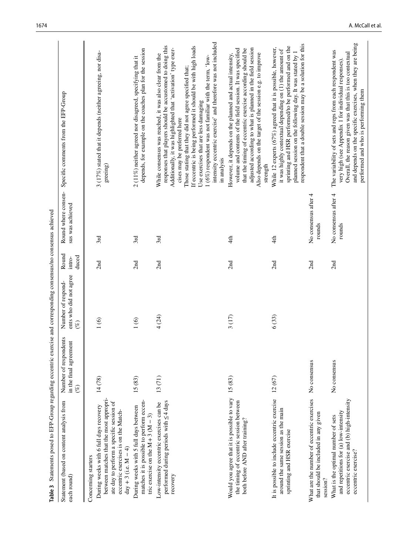<span id="page-7-0"></span>

| Table 3 Statements posed to EFP-Group regarding eccentric exercise and corresponding consensus/no consensus achieved                                                                                                      |                                                           |                                                     |                          |                                         |                                                                                                                                                                                                                                                                                                                                                                                                                                                                                                                                 |
|---------------------------------------------------------------------------------------------------------------------------------------------------------------------------------------------------------------------------|-----------------------------------------------------------|-----------------------------------------------------|--------------------------|-----------------------------------------|---------------------------------------------------------------------------------------------------------------------------------------------------------------------------------------------------------------------------------------------------------------------------------------------------------------------------------------------------------------------------------------------------------------------------------------------------------------------------------------------------------------------------------|
| Statement (based on content analysis from<br>each round)                                                                                                                                                                  | Number of respondents<br>in the final agreement<br>$(\%)$ | ents who did not agree<br>Number of respond-<br>(%) | Round<br>duced<br>intro- | Round where consen-<br>sus was achieved | Specific comments from the EFP-Group                                                                                                                                                                                                                                                                                                                                                                                                                                                                                            |
| between matches that the most appropri-<br>ate day to perform a specific session of<br>During weeks with 6 full days recovery<br>eccentric exercises is on the Match-<br>$day + 3$ (i.e. $M - 4$ )<br>Concerning starters | 14(78)                                                    | 1(6)                                                | 2nd                      | 3rd                                     | 3 (17%) stated that it depends (neither agreeing, nor disa-<br>greeing)                                                                                                                                                                                                                                                                                                                                                                                                                                                         |
| matches it is possible to perform eccen-<br>During weeks with 5 full days between<br>tric exercise on the $M+3$ ( $M-3$ )                                                                                                 | 15 (83)                                                   | 1(6)                                                | 2nd                      | 3rd                                     | depends, for example on the coaches plan for the session<br>2 (11%) neither agreed nor disagreed, specifying that it                                                                                                                                                                                                                                                                                                                                                                                                            |
| performed during periods with ≤4 days<br>Low-intensity eccentric exercises can be<br>recovery                                                                                                                             | 13(71)                                                    | 4 (24)                                              | 2nd                      | 3rd                                     | intensity eccentric exercise' and therefore was not included<br>responses that players should be accustomed to doing this<br>If eccentric is being performed it should be with high loads<br>Additionally, it was highlighted that 'activation' type exer-<br>While consensus was reached, it was also clear from the<br>1 (6%) respondent was not familiar with the term, 'low-<br>Those stating that they did not agree specified that;<br>Use exercises that are less damaging<br>cises may be preferred here<br>in analysis |
| Would you agree that it is possible to vary<br>the timing of eccentric session between<br>both before AND after training?                                                                                                 | 15 (83)                                                   | 3(17)                                               | 2nd                      | 4th                                     | adjusted according to what is planned in the field session<br>volume and contents of the field session. It was specified<br>that the timing of eccentric exercise according should be<br>Also depends on the target of the session e.g. to improve<br>However, it depends on the planned and actual intensity,<br>strength                                                                                                                                                                                                      |
| It is possible to include eccentric exercise<br>around the same session as the main<br>sprinting and HSR exercise                                                                                                         | 12(67)                                                    | 6(33)                                               | 2nd                      | 4th                                     | respondent that a double session may be a solution for this<br>sprinting and HSR performed/to be performed and on the<br>While 12 experts $(67\%)$ agreed that it is possible, however,<br>it was highly contextual depending on (1) the amount of<br>planned session on the following day. It was stated by 1                                                                                                                                                                                                                  |
| What are the number of eccentric exercises<br>that should be included in any given<br>session?                                                                                                                            | No consensus                                              |                                                     | 2nd                      | No consensus after 4<br>rounds          |                                                                                                                                                                                                                                                                                                                                                                                                                                                                                                                                 |
| eccentric exercise and (b) high-intensity<br>and repetitions for (a) low-intensity<br>What is the optimal number of sets<br>eccentric exercise?                                                                           | No consensus                                              |                                                     | 2nd                      | No consensus after 4<br>rounds          | and depends on the specific exercises, when they are being<br>The variability of sets and reps from each respondent was<br>Overall, the reason given was that this is too contextual<br>very high (see Appendix 1 for individual responses).<br>performed and who is performing them                                                                                                                                                                                                                                            |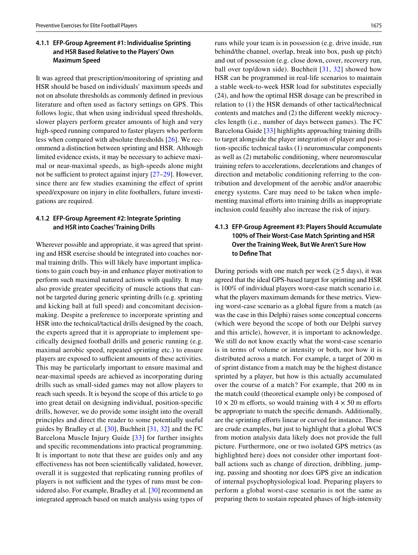## **4.1.1 EFP‑Group Agreement #1: Individualise Sprinting and HSR Based Relative to the Players' Own Maximum Speed**

It was agreed that prescription/monitoring of sprinting and HSR should be based on individuals' maximum speeds and not on absolute thresholds as commonly defned in previous literature and often used as factory settings on GPS. This follows logic, that when using individual speed thresholds, slower players perform greater amounts of high and very high-speed running compared to faster players who perform less when compared with absolute thresholds [\[26](#page-13-23)]. We recommend a distinction between sprinting and HSR. Although limited evidence exists, it may be necessary to achieve maximal or near-maximal speeds, as high-speeds alone might not be sufficient to protect against injury  $[27-29]$  $[27-29]$ . However, since there are few studies examining the effect of sprint speed/exposure on injury in elite footballers, future investigations are required.

## **4.1.2 EFP‑Group Agreement #2: Integrate Sprinting and HSR into Coaches' Training Drills**

Wherever possible and appropriate, it was agreed that sprinting and HSR exercise should be integrated into coaches normal training drills. This will likely have important implications to gain coach buy-in and enhance player motivation to perform such maximal natured actions with quality. It may also provide greater specifcity of muscle actions that cannot be targeted during generic sprinting drills (e.g. sprinting and kicking ball at full speed) and concomitant decisionmaking. Despite a preference to incorporate sprinting and HSR into the technical/tactical drills designed by the coach, the experts agreed that it is appropriate to implement specifcally designed football drills and generic running (e.g. maximal aerobic speed, repeated sprinting etc.) to ensure players are exposed to sufficient amounts of these activities. This may be particularly important to ensure maximal and near-maximal speeds are achieved as incorporating during drills such as small-sided games may not allow players to reach such speeds. It is beyond the scope of this article to go into great detail on designing individual, position-specifc drills, however, we do provide some insight into the overall principles and direct the reader to some potentially useful guides by Bradley et al. [\[30\]](#page-13-26), Buchheit [\[31](#page-13-27), [32\]](#page-13-28) and the FC Barcelona Muscle Injury Guide [[33](#page-13-29)] for further insights and specifc recommendations into practical programming. It is important to note that these are guides only and any efectiveness has not been scientifcally validated, however, overall it is suggested that replicating running profles of players is not sufficient and the types of runs must be considered also. For example, Bradley et al. [[30\]](#page-13-26) recommend an integrated approach based on match analysis using types of runs while your team is in possession (e.g. drive inside, run behind/the channel, overlap, break into box, push up pitch) and out of possession (e.g. close down, cover, recovery run, ball over top/down side). Buchheit [[31](#page-13-27), [32\]](#page-13-28) showed how HSR can be programmed in real-life scenarios to maintain a stable week-to-week HSR load for substitutes especially (24), and how the optimal HSR dosage can be prescribed in relation to (1) the HSR demands of other tactical/technical contents and matches and (2) the diferent weekly microcycles length (i.e., number of days between games). The FC Barcelona Guide [\[33\]](#page-13-29) highlights approaching training drills to target alongside the player integration of player and position-specifc technical tasks (1) neuromuscular components as well as (2) metabolic conditioning, where neuromuscular training refers to accelerations, decelerations and changes of direction and metabolic conditioning referring to the contribution and development of the aerobic and/or anaerobic energy systems. Care may need to be taken when implementing maximal efforts into training drills as inappropriate inclusion could feasibly also increase the risk of injury.

# **4.1.3 EFP‑Group Agreement #3: Players Should Accumulate 100% of Their Worst‑Case Match Sprinting and HSR Over the Training Week, But We Aren't Sure How to Defne That**

During periods with one match per week  $(\geq 5 \text{ days})$ , it was agreed that the ideal GPS-based target for sprinting and HSR is 100% of individual players worst-case match scenario i.e. what the players maximum demands for these metrics. Viewing worst-case scenario as a global fgure from a match (as was the case in this Delphi) raises some conceptual concerns (which were beyond the scope of both our Delphi survey and this article), however, it is important to acknowledge. We still do not know exactly what the worst-case scenario is in terms of volume or intensity or both, nor how it is distributed across a match. For example, a target of 200 m of sprint distance from a match may be the highest distance sprinted by a player, but how is this actually accumulated over the course of a match? For example, that 200 m in the match could (theoretical example only) be composed of  $10 \times 20$  m efforts, so would training with  $4 \times 50$  m efforts be appropriate to match the specifc demands. Additionally, are the sprinting efforts linear or curved for instance. These are crude examples, but just to highlight that a global WCS from motion analysis data likely does not provide the full picture. Furthermore, one or two isolated GPS metrics (as highlighted here) does not consider other important football actions such as change of direction, dribbling, jumping, passing and shooting nor does GPS give an indication of internal psychophysiological load. Preparing players to perform a global worst-case scenario is not the same as preparing them to sustain repeated phases of high-intensity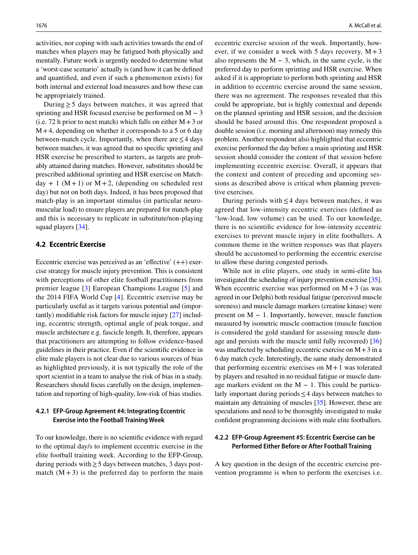activities, nor coping with such activities towards the end of matches when players may be fatigued both physically and mentally. Future work is urgently needed to determine what a 'worst-case scenario' actually is (and how it can be defned and quantifed, and even if such a phenomenon exists) for both internal and external load measures and how these can be appropriately trained.

During  $\geq$  5 days between matches, it was agreed that sprinting and HSR focused exercise be performed on  $M - 3$ (i.e. 72 h prior to next match) which falls on either  $M + 3$  or  $M+4$ , depending on whether it corresponds to a 5 or 6 day between-match cycle. Importantly, when there are  $\leq$  4 days between matches, it was agreed that no specifc sprinting and HSR exercise be prescribed to starters, as targets are probably attained during matches. However, substitutes should be prescribed additional sprinting and HSR exercise on Matchday + 1 ( $M + 1$ ) or  $M + 2$ , (depending on scheduled rest day) but not on both days. Indeed, it has been proposed that match-play is an important stimulus (in particular neuromuscular load) to ensure players are prepared for match-play and this is necessary to replicate in substitute/non-playing squad players [\[34\]](#page-13-30).

## **4.2 Eccentric Exercise**

Eccentric exercise was perceived as an 'effective'  $(++)$  exercise strategy for muscle injury prevention. This is consistent with perceptions of other elite football practitioners from premier league [\[3\]](#page-13-6) European Champions League [\[5\]](#page-13-7) and the 2014 FIFA World Cup [[4\]](#page-13-31). Eccentric exercise may be particularly useful as it targets various potential and (importantly) modifable risk factors for muscle injury [\[27](#page-13-24)] including, eccentric strength, optimal angle of peak torque, and muscle architecture e.g. fascicle length. It, therefore, appears that practitioners are attempting to follow evidence-based guidelines in their practice. Even if the scientifc evidence in elite male players is not clear due to various sources of bias as highlighted previously, it is not typically the role of the sport scientist in a team to analyse the risk of bias in a study. Researchers should focus carefully on the design, implementation and reporting of high-quality, low-risk of bias studies.

## **4.2.1 EFP‑Group Agreement #4: Integrating Eccentric Exercise into the Football Training Week**

To our knowledge, there is no scientifc evidence with regard to the optimal day/s to implement eccentric exercise in the elite football training week. According to the EFP-Group, during periods with≥5 days between matches, 3 days postmatch  $(M + 3)$  is the preferred day to perform the main eccentric exercise session of the week. Importantly, however, if we consider a week with 5 days recovery,  $M + 3$ also represents the  $M - 3$ , which, in the same cycle, is the preferred day to perform sprinting and HSR exercise. When asked if it is appropriate to perform both sprinting and HSR in addition to eccentric exercise around the same session, there was no agreement. The responses revealed that this could be appropriate, but is highly contextual and depends on the planned sprinting and HSR session, and the decision should be based around this. One respondent proposed a double session (i.e. morning and afternoon) may remedy this problem. Another respondent also highlighted that eccentric exercise performed the day before a main sprinting and HSR session should consider the content of that session before implementing eccentric exercise. Overall, it appears that the context and content of preceding and upcoming sessions as described above is critical when planning preventive exercises.

During periods with  $\leq$ 4 days between matches, it was agreed that low-intensity eccentric exercises (defned as 'low-load, low volume) can be used. To our knowledge, there is no scientifc evidence for low-intensity eccentric exercises to prevent muscle injury in elite footballers. A common theme in the written responses was that players should be accustomed to performing the eccentric exercise to allow these during congested periods.

While not in elite players, one study in semi-elite has investigated the scheduling of injury prevention exercise [[35\]](#page-13-32). When eccentric exercise was performed on  $M+3$  (as was agreed in our Delphi) both residual fatigue (perceived muscle soreness) and muscle damage markers (creatine kinase) were present on  $M - 1$ . Importantly, however, muscle function measured by isometric muscle contraction (muscle function is considered the gold standard for assessing muscle dam-age and persists with the muscle until fully recovered) [[36\]](#page-13-33) was unaffected by scheduling eccentric exercise on  $M+3$  in a 6 day match cycle. Interestingly, the same study demonstrated that performing eccentric exercises on  $M+1$  was tolerated by players and resulted in no residual fatigue or muscle damage markers evident on the  $M - 1$ . This could be particularly important during periods≤4 days between matches to maintain any detraining of muscles [[35\]](#page-13-32). However, these are speculations and need to be thoroughly investigated to make confdent programming decisions with male elite footballers.

## **4.2.2 EFP‑Group Agreement #5: Eccentric Exercise can be Performed Either Before or After Football Training**

A key question in the design of the eccentric exercise prevention programme is when to perform the exercises i.e.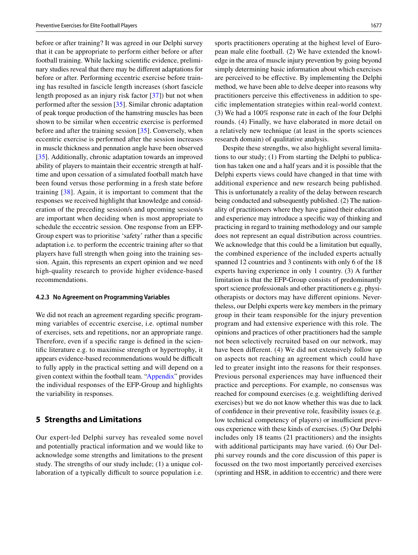before or after training? It was agreed in our Delphi survey that it can be appropriate to perform either before or after football training. While lacking scientifc evidence, preliminary studies reveal that there may be diferent adaptations for before or after. Performing eccentric exercise before training has resulted in fascicle length increases (short fascicle length proposed as an injury risk factor [[37\]](#page-13-34)) but not when performed after the session [\[35](#page-13-32)]. Similar chronic adaptation of peak torque production of the hamstring muscles has been shown to be similar when eccentric exercise is performed before and after the training session [[35\]](#page-13-32). Conversely, when eccentric exercise is performed after the session increases in muscle thickness and pennation angle have been observed [\[35\]](#page-13-32). Additionally, chronic adaptation towards an improved ability of players to maintain their eccentric strength at halftime and upon cessation of a simulated football match have been found versus those performing in a fresh state before training [\[38\]](#page-13-35). Again, it is important to comment that the responses we received highlight that knowledge and consideration of the preceding session/s and upcoming session/s are important when deciding when is most appropriate to schedule the eccentric session. One response from an EFP-Group expert was to prioritise 'safety' rather than a specifc adaptation i.e. to perform the eccentric training after so that players have full strength when going into the training session. Again, this represents an expert opinion and we need high-quality research to provide higher evidence-based recommendations.

#### **4.2.3 No Agreement on Programming Variables**

We did not reach an agreement regarding specifc programming variables of eccentric exercise, i.e. optimal number of exercises, sets and repetitions, nor an appropriate range. Therefore, even if a specifc range is defned in the scientifc literature e.g. to maximise strength or hypertrophy, it appears evidence-based recommendations would be difficult to fully apply in the practical setting and will depend on a given context within the football team. ["Appendix](#page-11-0)" provides the individual responses of the EFP-Group and highlights the variability in responses.

## **5 Strengths and Limitations**

Our expert-led Delphi survey has revealed some novel and potentially practical information and we would like to acknowledge some strengths and limitations to the present study. The strengths of our study include; (1) a unique collaboration of a typically difficult to source population i.e.

sports practitioners operating at the highest level of European male elite football. (2) We have extended the knowledge in the area of muscle injury prevention by going beyond simply determining basic information about which exercises are perceived to be efective. By implementing the Delphi method, we have been able to delve deeper into reasons why practitioners perceive this efectiveness in addition to specifc implementation strategies within real-world context. (3) We had a 100% response rate in each of the four Delphi rounds. (4) Finally, we have elaborated in more detail on a relatively new technique (at least in the sports sciences research domain) of qualitative analysis.

Despite these strengths, we also highlight several limitations to our study; (1) From starting the Delphi to publication has taken one and a half years and it is possible that the Delphi experts views could have changed in that time with additional experience and new research being published. This is unfortunately a reality of the delay between research being conducted and subsequently published. (2) The nationality of practitioners where they have gained their education and experience may introduce a specifc way of thinking and practicing in regard to training methodology and our sample does not represent an equal distribution across countries. We acknowledge that this could be a limitation but equally, the combined experience of the included experts actually spanned 12 countries and 3 continents with only 6 of the 18 experts having experience in only 1 country. (3) A further limitation is that the EFP-Group consists of predominantly sport science professionals and other practitioners e.g. physiotherapists or doctors may have diferent opinions. Nevertheless, our Delphi experts were key members in the primary group in their team responsible for the injury prevention program and had extensive experience with this role. The opinions and practices of other practitioners had the sample not been selectively recruited based on our network, may have been diferent. (4) We did not extensively follow up on aspects not reaching an agreement which could have led to greater insight into the reasons for their responses. Previous personal experiences may have infuenced their practice and perceptions. For example, no consensus was reached for compound exercises (e.g. weightlifting derived exercises) but we do not know whether this was due to lack of confdence in their preventive role, feasibility issues (e.g. low technical competency of players) or insufficient previous experience with these kinds of exercises. (5) Our Delphi includes only 18 teams (21 practitioners) and the insights with additional participants may have varied. (6) Our Delphi survey rounds and the core discussion of this paper is focussed on the two most importantly perceived exercises (sprinting and HSR, in addition to eccentric) and there were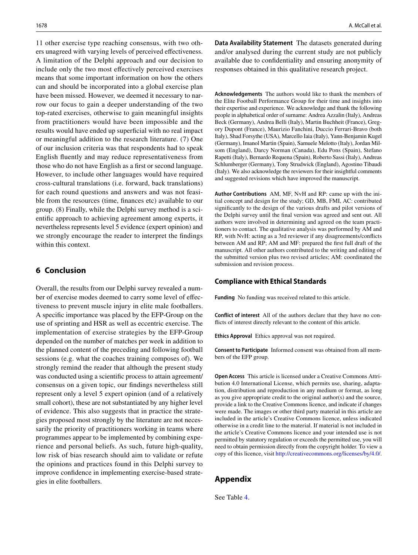11 other exercise type reaching consensus, with two others unagreed with varying levels of perceived efectiveness. A limitation of the Delphi approach and our decision to include only the two most efectively perceived exercises means that some important information on how the others can and should be incorporated into a global exercise plan have been missed. However, we deemed it necessary to narrow our focus to gain a deeper understanding of the two top-rated exercises, otherwise to gain meaningful insights from practitioners would have been impossible and the results would have ended up superfcial with no real impact or meaningful addition to the research literature. (7) One of our inclusion criteria was that respondents had to speak English fuently and may reduce representativeness from those who do not have English as a frst or second language. However, to include other languages would have required cross-cultural translations (i.e. forward, back translations) for each round questions and answers and was not feasible from the resources (time, fnances etc) available to our group. (8) Finally, while the Delphi survey method is a scientifc approach to achieving agreement among experts, it nevertheless represents level 5 evidence (expert opinion) and we strongly encourage the reader to interpret the fndings within this context.

# **6 Conclusion**

Overall, the results from our Delphi survey revealed a number of exercise modes deemed to carry some level of efectiveness to prevent muscle injury in elite male footballers. A specifc importance was placed by the EFP-Group on the use of sprinting and HSR as well as eccentric exercise. The implementation of exercise strategies by the EFP-Group depended on the number of matches per week in addition to the planned content of the preceding and following football sessions (e.g. what the coaches training composes of). We strongly remind the reader that although the present study was conducted using a scientifc process to attain agreement/ consensus on a given topic, our fndings nevertheless still represent only a level 5 expert opinion (and of a relatively small cohort), these are not substantiated by any higher level of evidence. This also suggests that in practice the strategies proposed most strongly by the literature are not necessarily the priority of practitioners working in teams where programmes appear to be implemented by combining experience and personal beliefs. As such, future high-quality, low risk of bias research should aim to validate or refute the opinions and practices found in this Delphi survey to improve confdence in implementing exercise-based strategies in elite footballers.

**Data Availability Statement** The datasets generated during and/or analysed during the current study are not publicly available due to confdentiality and ensuring anonymity of responses obtained in this qualitative research project.

**Acknowledgements** The authors would like to thank the members of the Elite Football Performance Group for their time and insights into their expertise and experience. We acknowledge and thank the following people in alphabetical order of surname: Andrea Azzalin (Italy), Andreas Beck (Germany), Andrea Belli (Italy), Martin Buchheit (France), Gregory Dupont (France), Maurizio Fanchini, Duccio Ferrari-Bravo (both Italy), Shad Forsythe (USA), Marcello Iaia (Italy), Yann-Benjamin Kugel (Germany), Imanol Martin (Spain), Samuele Melotto (Italy), Jordan Milsom (England), Darcy Norman (Canada), Edu Pons (Spain), Stefano Rapetti (Italy), Bernardo Requena (Spain), Roberto Sassi (Italy), Andreas Schlumberger (Germany), Tony Strudwick (England), Agostino Tibaudi (Italy). We also acknowledge the reviewers for their insightful comments and suggested revisions which have improved the manuscript.

**Author Contributions** AM, MF, NvH and RP: came up with the initial concept and design for the study; GD, MB, FMI, AC: contributed signifcantly to the design of the various drafts and pilot versions of the Delphi survey until the fnal version was agreed and sent out. All authors were involved in determining and agreed on the team practitioners to contact. The qualitative analysis was performed by AM and RP, with NvH: acting as a 3rd reviewer if any disagreements/conficts between AM and RP; AM and MF: prepared the frst full draft of the manuscript. All other authors contributed to the writing and editing of the submitted version plus two revised articles; AM: coordinated the submission and revision process.

#### **Compliance with Ethical Standards**

**Funding** No funding was received related to this article.

**Conflict of interest** All of the authors declare that they have no conficts of interest directly relevant to the content of this article.

**Ethics Approval** Ethics approval was not required.

**Consent to Participate** Informed consent was obtained from all members of the EFP group.

**Open Access** This article is licensed under a Creative Commons Attribution 4.0 International License, which permits use, sharing, adaptation, distribution and reproduction in any medium or format, as long as you give appropriate credit to the original author(s) and the source, provide a link to the Creative Commons licence, and indicate if changes were made. The images or other third party material in this article are included in the article's Creative Commons licence, unless indicated otherwise in a credit line to the material. If material is not included in the article's Creative Commons licence and your intended use is not permitted by statutory regulation or exceeds the permitted use, you will need to obtain permission directly from the copyright holder. To view a copy of this licence, visit<http://creativecommons.org/licenses/by/4.0/>.

# <span id="page-11-0"></span>**Appendix**

See Table [4](#page-12-0).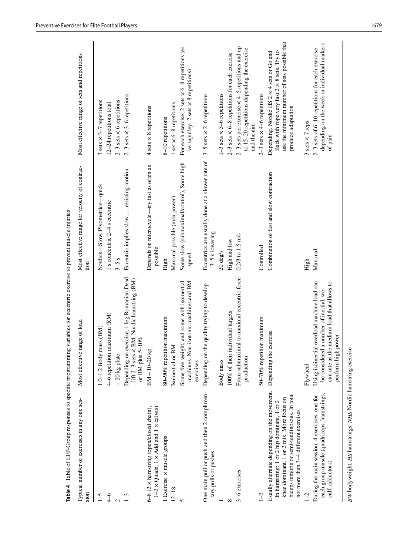|                                                                                                                                                                                                                                | Table 4 Table of EFP-Group responses to specific programming variables for eccentric exercise to prevent muscle injuries                                  |                                                                   |                                                                                                                                                                |
|--------------------------------------------------------------------------------------------------------------------------------------------------------------------------------------------------------------------------------|-----------------------------------------------------------------------------------------------------------------------------------------------------------|-------------------------------------------------------------------|----------------------------------------------------------------------------------------------------------------------------------------------------------------|
| Typical number of exercises in any one ses-<br>sion                                                                                                                                                                            | e range of load<br>Most effectiv                                                                                                                          | Most effective range for velocity of contrac-<br>tion             | Most effective range of sets and repetitions                                                                                                                   |
| $\mathcal{L}$                                                                                                                                                                                                                  | $1.0 - 1.2$ Body mass $(BM)$                                                                                                                              | Nordics-Slow. Plyometrics-quick                                   | $3 sets \times 3-7$ repetitions                                                                                                                                |
| ۴                                                                                                                                                                                                                              | 4-6 repetition maximum (RM)                                                                                                                               | 1 s concentric 2–4 s eccentric                                    | 12-24 repetitions total                                                                                                                                        |
|                                                                                                                                                                                                                                | $+20$ kg plate                                                                                                                                            | $3-5s$                                                            | $2-3$ sets $\times$ 6 repetitions                                                                                                                              |
|                                                                                                                                                                                                                                | Depending on exercise, 1 leg Romanian Dead-<br>lift 2–3 sets $\times$ BM, Nordic hamstring (BM)<br>or BM plus 5-10%                                       | Eccentric implies slowresisting motion                            | $2-3$ sets $\times$ 3-6 repetitions                                                                                                                            |
| 6-8 (2 x hamstring (open/closed chain),<br>$1-2 \times$ Quads, 1 $\times$ Add and 1 $\times$ calves)                                                                                                                           | $BM + 10 - 20$ kg                                                                                                                                         | Depends on microcycle-try fast as often as<br>possible            | 4 sets × 8 repetitions                                                                                                                                         |
| Exercise × muscle groups                                                                                                                                                                                                       | 80-90% repetition maximum                                                                                                                                 | High                                                              | 8-10 repetitions                                                                                                                                               |
| $12 - 18$                                                                                                                                                                                                                      | Isoinertial or BM                                                                                                                                         | Maximal possible (max power)                                      | 1 set $\times$ 6-8 repetitions                                                                                                                                 |
|                                                                                                                                                                                                                                | Non-isotonic machines and BM<br>Some free weight, and some with isoinertial<br>machines.<br>exercises                                                     | Some slow (submaximal/control), Some high<br>speed                | For each exercise; 2 sets $\times$ 6-8 repetitions (es<br>versapulley: 2 sets × 8 repetitions)                                                                 |
| One main pull or push and then 2 complimen-<br>tary pulls or pushes                                                                                                                                                            | Depending on the quality trying to develop                                                                                                                | Eccentrics are usually done at a slower rate of<br>3-5 s lowering | $3-5$ sets $\times$ 2-6 repetitions                                                                                                                            |
|                                                                                                                                                                                                                                | Body mass                                                                                                                                                 | 20 deg/s                                                          | $1-3$ sets $\times$ 3-6 repetitions                                                                                                                            |
|                                                                                                                                                                                                                                | 100% of their individual targets                                                                                                                          | High and low                                                      | $2-3$ sets $\times$ 6-8 repetitions for each exercise                                                                                                          |
| 3-6 exercises                                                                                                                                                                                                                  | From submaximal to maximal eccentric force<br>production                                                                                                  | $0.2/3$ to $1.5$ m/s                                              | 2-3 sets per exercise $\times$ 4-5 repetitions and up<br>to 15-20 repetitions depending the exercise<br>and the aim                                            |
| $\sqrt{-2}$                                                                                                                                                                                                                    | 50-70% repetition maximum                                                                                                                                 | Controlled                                                        | $2-3$ sets $\times$ 4-6 repetitions                                                                                                                            |
| Jsually alternate depending on the movement.<br>biceps femoris or semi-tendinosous. In total<br>knee dominant, 1 or 2 mix. More focus on<br>In hamstring: 1 or 2 hip dominant, 1 or 2<br>not more than 3-4 different exercises | Depending the exercise                                                                                                                                    | Combination of fast and slow contraction                          | use the minimum number of sets possible that<br>Back with rope very fast 2 × 8 sets. Try to<br>Depending. Nordic HS 2 x 4 sets or Go and<br>produce adaptation |
| $\tilde{c}$                                                                                                                                                                                                                    | Flywheel                                                                                                                                                  | High                                                              | 3 sets × 7 reps                                                                                                                                                |
| each group muscle (quadriceps, hamstrings,<br>During the main session: 4 exercises, one for<br>calf, adductors)                                                                                                                | Using isoinertial overload machine load can<br>can rate as the medium load that allows to<br>be considered a number of inertial, we<br>perform high power | Maximal                                                           | depending on the week or individual markers<br>2-3 sets of 6-10 repetitions for each exercise<br>of pain                                                       |
| BW bodyweight, HS hamstrings, NHS Nordic hamstring exercise                                                                                                                                                                    |                                                                                                                                                           |                                                                   |                                                                                                                                                                |

<span id="page-12-0"></span>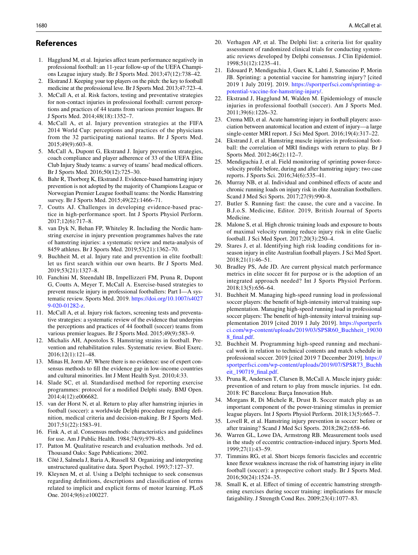## **References**

- <span id="page-13-0"></span>1. Hagglund M, et al. Injuries afect team performance negatively in professional football: an 11-year follow-up of the UEFA Champions League injury study. Br J Sports Med. 2013;47(12):738–42.
- <span id="page-13-1"></span>2. Ekstrand J. Keeping your top players on the pitch: the key to football medicine at the professional leve. Br J Sports Med. 2013;47:723–4.
- <span id="page-13-6"></span>3. McCall A, et al. Risk factors, testing and preventative strategies for non-contact injuries in professional football: current perceptions and practices of 44 teams from various premier leagues. Br J Sports Med. 2014;48(18):1352–7.
- <span id="page-13-31"></span>4. McCall A, et al. Injury prevention strategies at the FIFA 2014 World Cup: perceptions and practices of the physicians from the 32 participating national teams. Br J Sports Med. 2015;49(9):603–8.
- <span id="page-13-7"></span>5. McCall A, Dupont G, Ekstrand J. Injury prevention strategies, coach compliance and player adherence of 33 of the UEFA Elite Club Injury Study teams: a survey of teams' head medical officers. Br J Sports Med. 2016;50(12):725–30.
- <span id="page-13-8"></span>6. Bahr R, Thorborg K, Ekstrand J. Evidence-based hamstring injury prevention is not adopted by the majority of Champions League or Norwegian Premier League football teams: the Nordic Hamstring survey. Br J Sports Med. 2015;49(22):1466–71.
- <span id="page-13-9"></span>7. Coutts AJ. Challenges in developing evidence-based practice in high-performance sport. Int J Sports Physiol Perform. 2017;12(6):717–8.
- <span id="page-13-10"></span>8. van Dyk N, Behan FP, Whiteley R. Including the Nordic hamstring exercise in injury prevention programmes halves the rate of hamstring injuries: a systematic review and meta-analysis of 8459 athletes. Br J Sports Med. 2019;53(21):1362–70.
- <span id="page-13-2"></span>9. Buchheit M, et al. Injury rate and prevention in elite football: let us first search within our own hearts. Br J Sports Med. 2019;53(21):1327–8.
- <span id="page-13-3"></span>10. Fanchini M, Steendahl IB, Impellizzeri FM, Pruna R, Dupont G, Coutts A, Meyer T, McCall A. Exercise-based strategies to prevent muscle injury in professional footballers: Part I—A systematic review. Sports Med. 2019. [https://doi.org/10.1007/s4027](https://doi.org/10.1007/s40279-020-01282-z) [9-020-01282-z](https://doi.org/10.1007/s40279-020-01282-z).
- 11. McCall A, et al. Injury risk factors, screening tests and preventative strategies: a systematic review of the evidence that underpins the perceptions and practices of 44 football (soccer) teams from various premier leagues. Br J Sports Med. 2015;49(9):583–9.
- <span id="page-13-4"></span>12. Michalis AH, Apostolos S. Hamstring strains in football. Prevention and rehabilitation rules. Systematic review. Biol Exerc. 2016;12(1):121–48.
- <span id="page-13-5"></span>13. Minas H, Jorm AF. Where there is no evidence: use of expert consensus methods to fll the evidence gap in low-income countries and cultural minorities. Int J Ment Health Syst. 2010;4:33.
- <span id="page-13-11"></span>14. Slade SC, et al. Standardised method for reporting exercise programmes: protocol for a modifed Delphi study. BMJ Open. 2014;4(12):e006682.
- <span id="page-13-12"></span>15. van der Horst N, et al. Return to play after hamstring injuries in football (soccer): a worldwide Delphi procedure regarding defnition, medical criteria and decision-making. Br J Sports Med. 2017;51(22):1583–91.
- <span id="page-13-13"></span>16. Fink A, et al. Consensus methods: characteristics and guidelines for use. Am J Public Health. 1984;74(9):979–83.
- <span id="page-13-14"></span>17. Patton M. Qualitative research and evaluation methods. 3rd ed. Thousand Oaks: Sage Publications; 2002.
- <span id="page-13-15"></span>18. Côté J, Salmela J, Baria A, Russell SJ. Organizing and interpreting unstructured qualitative data. Sport Psychol. 1993;7:127–37.
- <span id="page-13-16"></span>19. Kleynen M, et al. Using a Delphi technique to seek consensus regarding defnitions, descriptions and classifcation of terms related to implicit and explicit forms of motor learning. PLoS One. 2014;9(6):e100227.
- <span id="page-13-17"></span>20. Verhagen AP, et al. The Delphi list: a criteria list for quality assessment of randomized clinical trials for conducting systematic reviews developed by Delphi consensus. J Clin Epidemiol. 1998;51(12):1235–41.
- <span id="page-13-18"></span>21. Edouard P, Mendiguchia J, Guex K, Lahti J, Samozino P, Morin JB. Sprinting: a potential vaccine for hamstring injury? [cited 2019 1 July 2019]. 2019. [https://sportperfsci.com/sprinting-a](https://sportperfsci.com/sprinting-a-potential-vaccine-for-hamstring-injury/)[potential-vaccine-for-hamstring-injury/.](https://sportperfsci.com/sprinting-a-potential-vaccine-for-hamstring-injury/)
- <span id="page-13-19"></span>22. Ekstrand J, Hagglund M, Walden M. Epidemiology of muscle injuries in professional football (soccer). Am J Sports Med. 2011;39(6):1226–32.
- <span id="page-13-20"></span>23. Crema MD, et al. Acute hamstring injury in football players: association between anatomical location and extent of injury—a large single-center MRI report. J Sci Med Sport. 2016;19(4):317–22.
- <span id="page-13-21"></span>24. Ekstrand J, et al. Hamstring muscle injuries in professional football: the correlation of MRI fndings with return to play. Br J Sports Med. 2012;46(2):112–7.
- <span id="page-13-22"></span>25. Mendiguchia J, et al. Field monitoring of sprinting power-forcevelocity profle before, during and after hamstring injury: two case reports. J Sports Sci. 2016;34(6):535–41.
- <span id="page-13-23"></span>26. Murray NB, et al. Individual and combined effects of acute and chronic running loads on injury risk in elite Australian footballers. Scand J Med Sci Sports. 2017;27(9):990–8.
- <span id="page-13-24"></span>27. Butler S. Running fast: the cause, the cure and a vaccine. In B.J.o.S. Medicine, Editor. 2019, British Journal of Sports Medicine.
- 28. Malone S, et al. High chronic training loads and exposure to bouts of maximal velocity running reduce injury risk in elite Gaelic football. J Sci Med Sport. 2017;20(3):250–4.
- <span id="page-13-25"></span>29. Stares J, et al. Identifying high risk loading conditions for inseason injury in elite Australian football players. J Sci Med Sport. 2018;21(1):46–51.
- <span id="page-13-26"></span>30. Bradley PS, Ade JD. Are current physical match performance metrics in elite soccer ft for purpose or is the adoption of an integrated approach needed? Int J Sports Physiol Perform. 2018;13(5):656–64.
- <span id="page-13-27"></span>31. Buchheit M. Managing high-speed running load in professional soccer players: the beneft of high-intensity interval training supplementation. Managing high-speed running load in professional soccer players: The beneft of high-intensity interval training supplementation 2019 [cited 2019 1 July 2019]. [https://sportperfs](https://sportperfsci.com/wp-content/uploads/2019/03/SPSR60_Buchheit_190308_final.pdf) [ci.com/wp-content/uploads/2019/03/SPSR60\\_Buchheit\\_19030](https://sportperfsci.com/wp-content/uploads/2019/03/SPSR60_Buchheit_190308_final.pdf) [8\\_fnal.pdf.](https://sportperfsci.com/wp-content/uploads/2019/03/SPSR60_Buchheit_190308_final.pdf)
- <span id="page-13-28"></span>32. Buchheit M. Programming high-speed running and mechanical work in relation to technical contents and match schedule in professional soccer. 2019 [cited 2019 7 December 2019]. [https://](https://sportperfsci.com/wp-content/uploads/2019/07/SPSR73_Buchheit_190719_final.pdf) [sportperfsci.com/wp-content/uploads/2019/07/SPSR73\\_Buchh](https://sportperfsci.com/wp-content/uploads/2019/07/SPSR73_Buchheit_190719_final.pdf) [eit\\_190719\\_fnal.pdf](https://sportperfsci.com/wp-content/uploads/2019/07/SPSR73_Buchheit_190719_final.pdf).
- <span id="page-13-29"></span>33. Pruna R, Andersen T, Clarsen B, McCall A. Muscle injury guide: prevention of and return to play from muscle injuries. 1st edn. 2018: FC Barcelona: Barça Innovation Hub.
- <span id="page-13-30"></span>34. Morgans R, Di Michele R, Drust B. Soccer match play as an important component of the power-training stimulus in premier league players. Int J Sports Physiol Perform. 2018;13(5):665–7.
- <span id="page-13-32"></span>35. Lovell R, et al. Hamstring injury prevention in soccer: before or after training? Scand J Med Sci Sports. 2018;28(2):658–66.
- <span id="page-13-33"></span>36. Warren GL, Lowe DA, Armstrong RB. Measurement tools used in the study of eccentric contraction-induced injury. Sports Med. 1999;27(1):43–59.
- <span id="page-13-34"></span>37. Timmins RG, et al. Short biceps femoris fascicles and eccentric knee fexor weakness increase the risk of hamstring injury in elite football (soccer): a prospective cohort study. Br J Sports Med. 2016;50(24):1524–35.
- <span id="page-13-35"></span>38. Small K, et al. Efect of timing of eccentric hamstring strengthening exercises during soccer training: implications for muscle fatigability. J Strength Cond Res. 2009;23(4):1077–83.